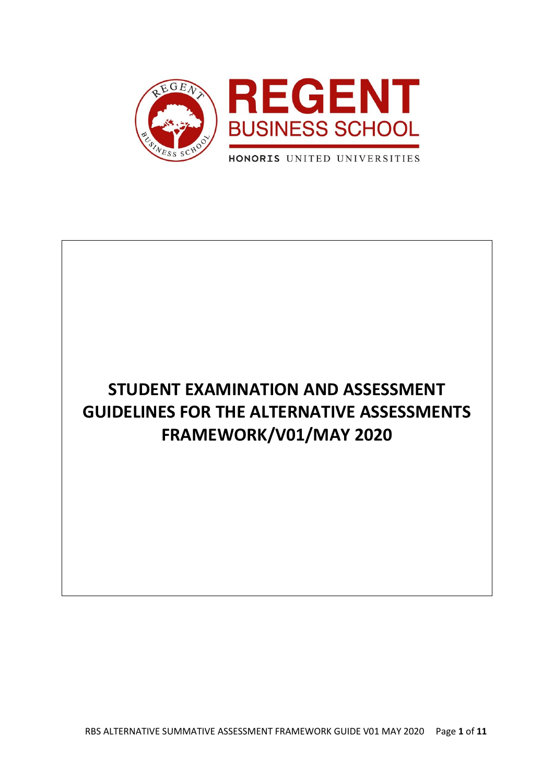

# **STUDENT EXAMINATION AND ASSESSMENT GUIDELINES FOR THE ALTERNATIVE ASSESSMENTS FRAMEWORK/V01/MAY 2020**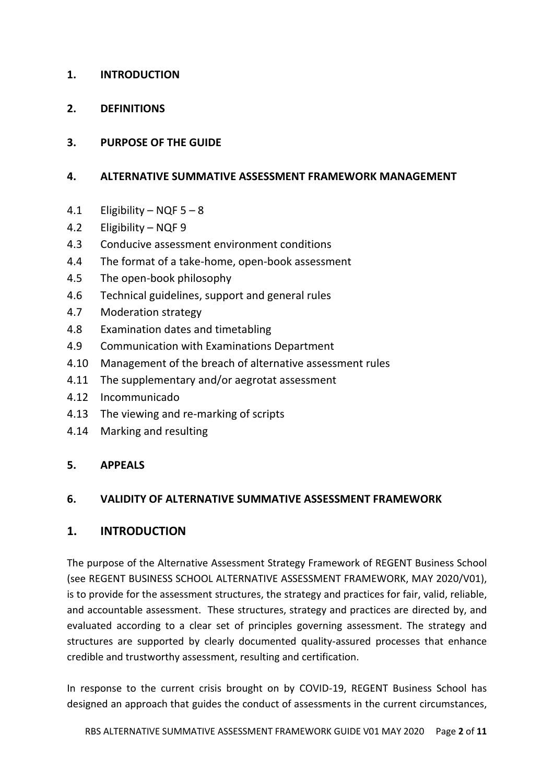## **1. INTRODUCTION**

**2. DEFINITIONS**

# **3. PURPOSE OF THE GUIDE**

#### **4. ALTERNATIVE SUMMATIVE ASSESSMENT FRAMEWORK MANAGEMENT**

- 4.1 Eligibility NQF 5 8
- 4.2 Eligibility NQF 9
- 4.3 Conducive assessment environment conditions
- 4.4 The format of a take-home, open-book assessment
- 4.5 The open-book philosophy
- 4.6 Technical guidelines, support and general rules
- 4.7 Moderation strategy
- 4.8 Examination dates and timetabling
- 4.9 Communication with Examinations Department
- 4.10 Management of the breach of alternative assessment rules
- 4.11 The supplementary and/or aegrotat assessment
- 4.12 Incommunicado
- 4.13 The viewing and re-marking of scripts
- 4.14 Marking and resulting

#### **5. APPEALS**

#### **6. VALIDITY OF ALTERNATIVE SUMMATIVE ASSESSMENT FRAMEWORK**

#### **1. INTRODUCTION**

The purpose of the Alternative Assessment Strategy Framework of REGENT Business School (see REGENT BUSINESS SCHOOL ALTERNATIVE ASSESSMENT FRAMEWORK, MAY 2020/V01), is to provide for the assessment structures, the strategy and practices for fair, valid, reliable, and accountable assessment. These structures, strategy and practices are directed by, and evaluated according to a clear set of principles governing assessment. The strategy and structures are supported by clearly documented quality-assured processes that enhance credible and trustworthy assessment, resulting and certification.

In response to the current crisis brought on by COVID-19, REGENT Business School has designed an approach that guides the conduct of assessments in the current circumstances,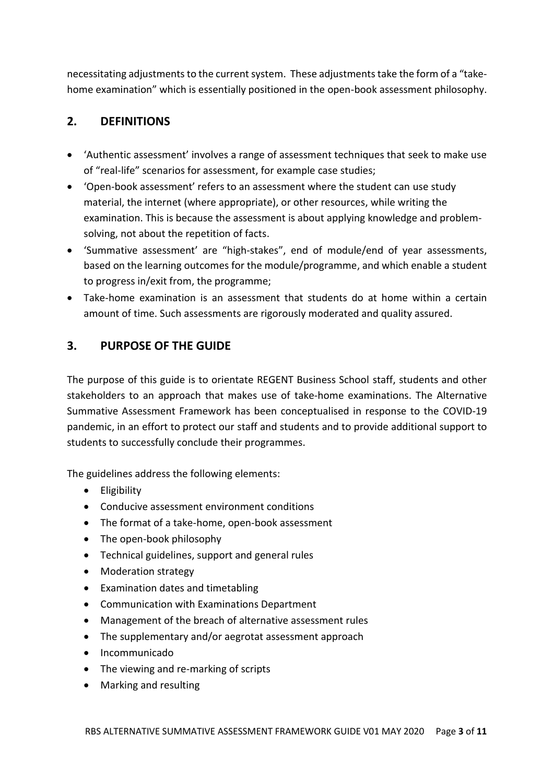necessitating adjustments to the current system. These adjustments take the form of a "takehome examination" which is essentially positioned in the open-book assessment philosophy.

# **2. DEFINITIONS**

- 'Authentic assessment' involves a range of assessment techniques that seek to make use of "real-life" scenarios for assessment, for example case studies;
- 'Open-book assessment' refers to an assessment where the student can use study material, the internet (where appropriate), or other resources, while writing the examination. This is because the assessment is about applying knowledge and problemsolving, not about the repetition of facts.
- 'Summative assessment' are "high-stakes", end of module/end of year assessments, based on the learning outcomes for the module/programme, and which enable a student to progress in/exit from, the programme;
- Take-home examination is an assessment that students do at home within a certain amount of time. Such assessments are rigorously moderated and quality assured.

# **3. PURPOSE OF THE GUIDE**

The purpose of this guide is to orientate REGENT Business School staff, students and other stakeholders to an approach that makes use of take-home examinations. The Alternative Summative Assessment Framework has been conceptualised in response to the COVID-19 pandemic, in an effort to protect our staff and students and to provide additional support to students to successfully conclude their programmes.

The guidelines address the following elements:

- Eligibility
- Conducive assessment environment conditions
- The format of a take-home, open-book assessment
- The open-book philosophy
- Technical guidelines, support and general rules
- Moderation strategy
- Examination dates and timetabling
- Communication with Examinations Department
- Management of the breach of alternative assessment rules
- The supplementary and/or aegrotat assessment approach
- Incommunicado
- The viewing and re-marking of scripts
- Marking and resulting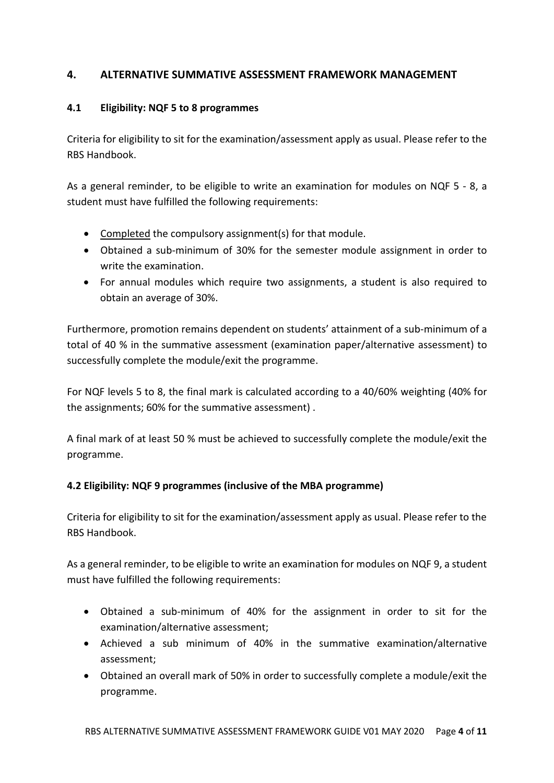## **4. ALTERNATIVE SUMMATIVE ASSESSMENT FRAMEWORK MANAGEMENT**

#### **4.1 Eligibility: NQF 5 to 8 programmes**

Criteria for eligibility to sit for the examination/assessment apply as usual. Please refer to the RBS Handbook.

As a general reminder, to be eligible to write an examination for modules on NQF 5 - 8, a student must have fulfilled the following requirements:

- Completed the compulsory assignment(s) for that module.
- Obtained a sub-minimum of 30% for the semester module assignment in order to write the examination.
- For annual modules which require two assignments, a student is also required to obtain an average of 30%.

Furthermore, promotion remains dependent on students' attainment of a sub-minimum of a total of 40 % in the summative assessment (examination paper/alternative assessment) to successfully complete the module/exit the programme.

For NQF levels 5 to 8, the final mark is calculated according to a 40/60% weighting (40% for the assignments; 60% for the summative assessment) .

A final mark of at least 50 % must be achieved to successfully complete the module/exit the programme.

#### **4.2 Eligibility: NQF 9 programmes (inclusive of the MBA programme)**

Criteria for eligibility to sit for the examination/assessment apply as usual. Please refer to the RBS Handbook.

As a general reminder, to be eligible to write an examination for modules on NQF 9, a student must have fulfilled the following requirements:

- Obtained a sub-minimum of 40% for the assignment in order to sit for the examination/alternative assessment;
- Achieved a sub minimum of 40% in the summative examination/alternative assessment;
- Obtained an overall mark of 50% in order to successfully complete a module/exit the programme.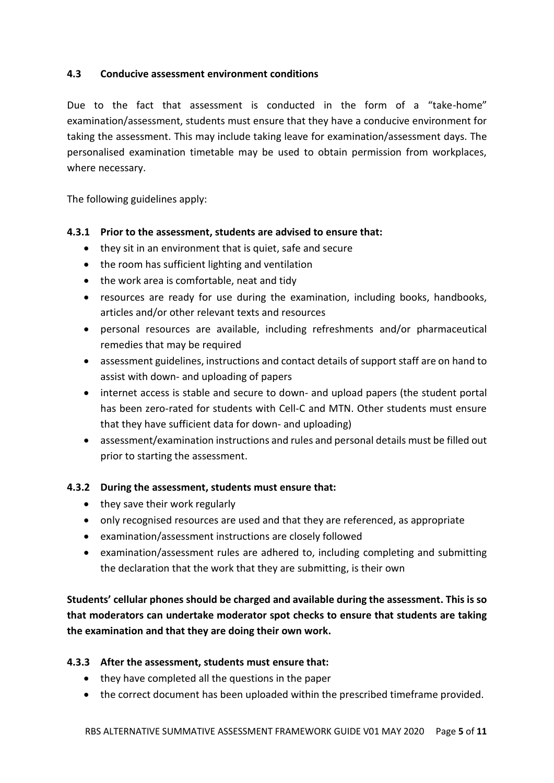#### **4.3 Conducive assessment environment conditions**

Due to the fact that assessment is conducted in the form of a "take-home" examination/assessment, students must ensure that they have a conducive environment for taking the assessment. This may include taking leave for examination/assessment days. The personalised examination timetable may be used to obtain permission from workplaces, where necessary.

The following guidelines apply:

#### **4.3.1 Prior to the assessment, students are advised to ensure that:**

- they sit in an environment that is quiet, safe and secure
- the room has sufficient lighting and ventilation
- the work area is comfortable, neat and tidy
- resources are ready for use during the examination, including books, handbooks, articles and/or other relevant texts and resources
- personal resources are available, including refreshments and/or pharmaceutical remedies that may be required
- assessment guidelines, instructions and contact details of support staff are on hand to assist with down- and uploading of papers
- internet access is stable and secure to down- and upload papers (the student portal has been zero-rated for students with Cell-C and MTN. Other students must ensure that they have sufficient data for down- and uploading)
- assessment/examination instructions and rules and personal details must be filled out prior to starting the assessment.

#### **4.3.2 During the assessment, students must ensure that:**

- they save their work regularly
- only recognised resources are used and that they are referenced, as appropriate
- examination/assessment instructions are closely followed
- examination/assessment rules are adhered to, including completing and submitting the declaration that the work that they are submitting, is their own

**Students' cellular phones should be charged and available during the assessment. This is so that moderators can undertake moderator spot checks to ensure that students are taking the examination and that they are doing their own work.**

#### **4.3.3 After the assessment, students must ensure that:**

- they have completed all the questions in the paper
- the correct document has been uploaded within the prescribed timeframe provided.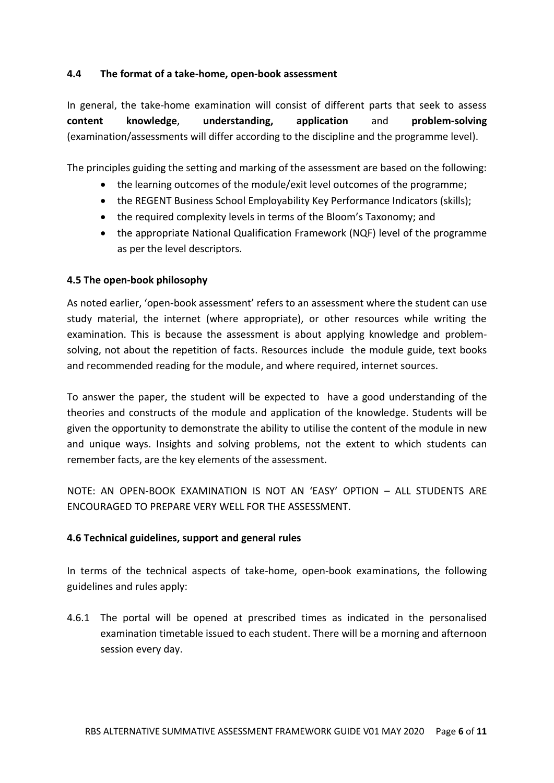#### **4.4 The format of a take-home, open-book assessment**

In general, the take-home examination will consist of different parts that seek to assess **content knowledge**, **understanding, application** and **problem-solving** (examination/assessments will differ according to the discipline and the programme level).

The principles guiding the setting and marking of the assessment are based on the following:

- the learning outcomes of the module/exit level outcomes of the programme;
- the REGENT Business School Employability Key Performance Indicators (skills);
- the required complexity levels in terms of the Bloom's Taxonomy; and
- the appropriate National Qualification Framework (NQF) level of the programme as per the level descriptors.

#### **4.5 The open-book philosophy**

As noted earlier, 'open-book assessment' refers to an assessment where the student can use study material, the internet (where appropriate), or other resources while writing the examination. This is because the assessment is about applying knowledge and problemsolving, not about the repetition of facts. Resources include the module guide, text books and recommended reading for the module, and where required, internet sources.

To answer the paper, the student will be expected to have a good understanding of the theories and constructs of the module and application of the knowledge. Students will be given the opportunity to demonstrate the ability to utilise the content of the module in new and unique ways. Insights and solving problems, not the extent to which students can remember facts, are the key elements of the assessment.

NOTE: AN OPEN-BOOK EXAMINATION IS NOT AN 'EASY' OPTION – ALL STUDENTS ARE ENCOURAGED TO PREPARE VERY WELL FOR THE ASSESSMENT.

#### **4.6 Technical guidelines, support and general rules**

In terms of the technical aspects of take-home, open-book examinations, the following guidelines and rules apply:

4.6.1 The portal will be opened at prescribed times as indicated in the personalised examination timetable issued to each student. There will be a morning and afternoon session every day.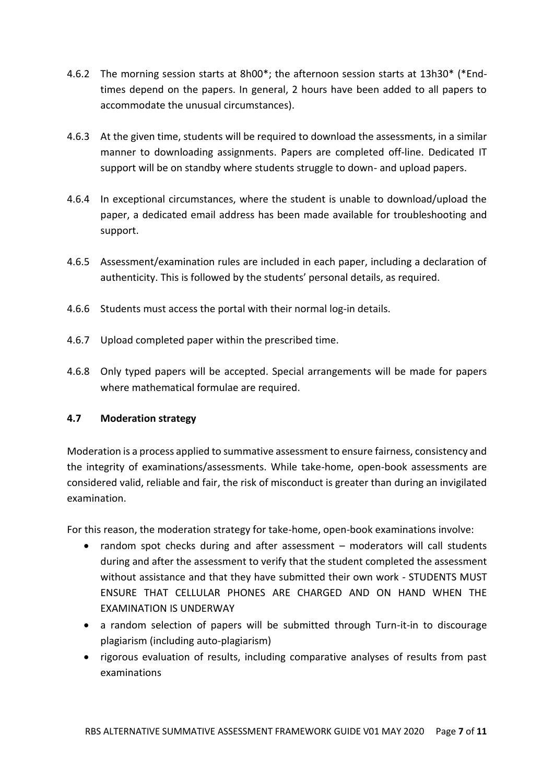- 4.6.2 The morning session starts at 8h00\*; the afternoon session starts at 13h30\* (\*Endtimes depend on the papers. In general, 2 hours have been added to all papers to accommodate the unusual circumstances).
- 4.6.3 At the given time, students will be required to download the assessments, in a similar manner to downloading assignments. Papers are completed off-line. Dedicated IT support will be on standby where students struggle to down- and upload papers.
- 4.6.4 In exceptional circumstances, where the student is unable to download/upload the paper, a dedicated email address has been made available for troubleshooting and support.
- 4.6.5 Assessment/examination rules are included in each paper, including a declaration of authenticity. This is followed by the students' personal details, as required.
- 4.6.6 Students must access the portal with their normal log-in details.
- 4.6.7 Upload completed paper within the prescribed time.
- 4.6.8 Only typed papers will be accepted. Special arrangements will be made for papers where mathematical formulae are required.

#### **4.7 Moderation strategy**

Moderation is a process applied to summative assessment to ensure fairness, consistency and the integrity of examinations/assessments. While take-home, open-book assessments are considered valid, reliable and fair, the risk of misconduct is greater than during an invigilated examination.

For this reason, the moderation strategy for take-home, open-book examinations involve:

- random spot checks during and after assessment moderators will call students during and after the assessment to verify that the student completed the assessment without assistance and that they have submitted their own work - STUDENTS MUST ENSURE THAT CELLULAR PHONES ARE CHARGED AND ON HAND WHEN THE EXAMINATION IS UNDERWAY
- a random selection of papers will be submitted through Turn-it-in to discourage plagiarism (including auto-plagiarism)
- rigorous evaluation of results, including comparative analyses of results from past examinations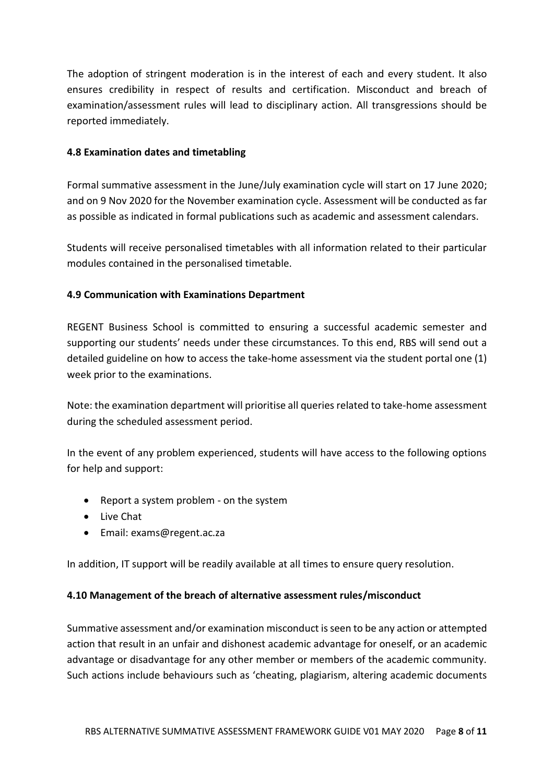The adoption of stringent moderation is in the interest of each and every student. It also ensures credibility in respect of results and certification. Misconduct and breach of examination/assessment rules will lead to disciplinary action. All transgressions should be reported immediately.

#### **4.8 Examination dates and timetabling**

Formal summative assessment in the June/July examination cycle will start on 17 June 2020; and on 9 Nov 2020 for the November examination cycle. Assessment will be conducted as far as possible as indicated in formal publications such as academic and assessment calendars.

Students will receive personalised timetables with all information related to their particular modules contained in the personalised timetable.

## **4.9 Communication with Examinations Department**

REGENT Business School is committed to ensuring a successful academic semester and supporting our students' needs under these circumstances. To this end, RBS will send out a detailed guideline on how to access the take-home assessment via the student portal one (1) week prior to the examinations.

Note: the examination department will prioritise all queries related to take-home assessment during the scheduled assessment period.

In the event of any problem experienced, students will have access to the following options for help and support:

- Report a system problem on the system
- Live Chat
- Email: exams@regent.ac.za

In addition, IT support will be readily available at all times to ensure query resolution.

#### **4.10 Management of the breach of alternative assessment rules/misconduct**

Summative assessment and/or examination misconduct is seen to be any action or attempted action that result in an unfair and dishonest academic advantage for oneself, or an academic advantage or disadvantage for any other member or members of the academic community. Such actions include behaviours such as 'cheating, plagiarism, altering academic documents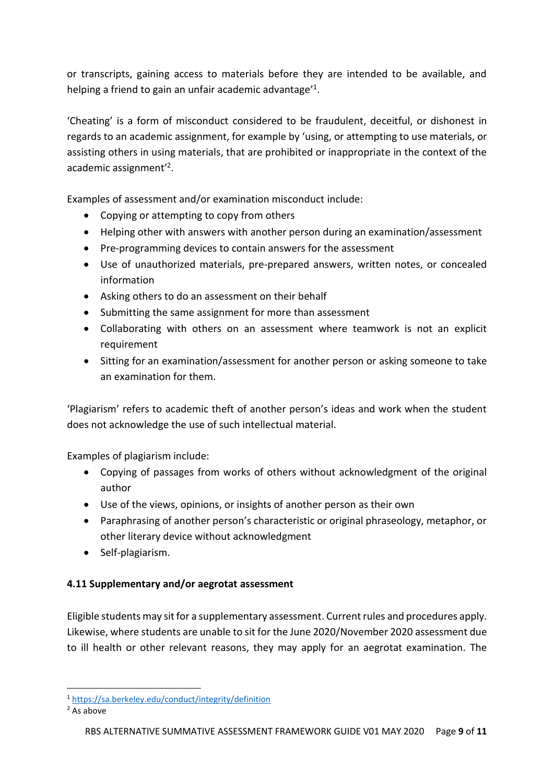or transcripts, gaining access to materials before they are intended to be available, and helping a friend to gain an unfair academic advantage'<sup>1</sup>.

'Cheating' is a form of misconduct considered to be fraudulent, deceitful, or dishonest in regards to an academic assignment, for example by 'using, or attempting to use materials, or assisting others in using materials, that are prohibited or inappropriate in the context of the academic assignment<sup>'2</sup>.

Examples of assessment and/or examination misconduct include:

- Copying or attempting to copy from others
- Helping other with answers with another person during an examination/assessment
- Pre-programming devices to contain answers for the assessment
- Use of unauthorized materials, pre-prepared answers, written notes, or concealed information
- Asking others to do an assessment on their behalf
- Submitting the same assignment for more than assessment
- Collaborating with others on an assessment where teamwork is not an explicit requirement
- Sitting for an examination/assessment for another person or asking someone to take an examination for them.

'Plagiarism' refers to academic theft of another person's ideas and work when the student does not acknowledge the use of such intellectual material.

Examples of plagiarism include:

- Copying of passages from works of others without acknowledgment of the original author
- Use of the views, opinions, or insights of another person as their own
- Paraphrasing of another person's characteristic or original phraseology, metaphor, or other literary device without acknowledgment
- Self-plagiarism.

#### **4.11 Supplementary and/or aegrotat assessment**

Eligible students may sit for a supplementary assessment. Current rules and procedures apply. Likewise, where students are unable to sit for the June 2020/November 2020 assessment due to ill health or other relevant reasons, they may apply for an aegrotat examination. The

<sup>1</sup> <https://sa.berkeley.edu/conduct/integrity/definition>

<sup>2</sup> As above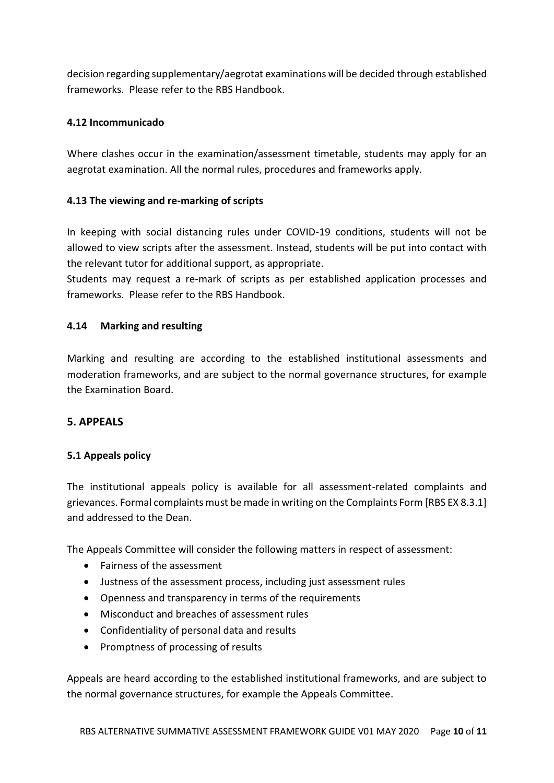decision regarding supplementary/aegrotat examinations will be decided through established frameworks. Please refer to the RBS Handbook.

#### **4.12 Incommunicado**

Where clashes occur in the examination/assessment timetable, students may apply for an aegrotat examination. All the normal rules, procedures and frameworks apply.

#### **4.13 The viewing and re-marking of scripts**

In keeping with social distancing rules under COVID-19 conditions, students will not be allowed to view scripts after the assessment. Instead, students will be put into contact with the relevant tutor for additional support, as appropriate.

Students may request a re-mark of scripts as per established application processes and frameworks. Please refer to the RBS Handbook.

#### **4.14 Marking and resulting**

Marking and resulting are according to the established institutional assessments and moderation frameworks, and are subject to the normal governance structures, for example the Examination Board.

#### **5. APPEALS**

#### **5.1 Appeals policy**

The institutional appeals policy is available for all assessment-related complaints and grievances. Formal complaints must be made in writing on the Complaints Form [RBS EX 8.3.1] and addressed to the Dean.

The Appeals Committee will consider the following matters in respect of assessment:

- Fairness of the assessment
- Justness of the assessment process, including just assessment rules
- Openness and transparency in terms of the requirements
- Misconduct and breaches of assessment rules
- Confidentiality of personal data and results
- Promptness of processing of results

Appeals are heard according to the established institutional frameworks, and are subject to the normal governance structures, for example the Appeals Committee.